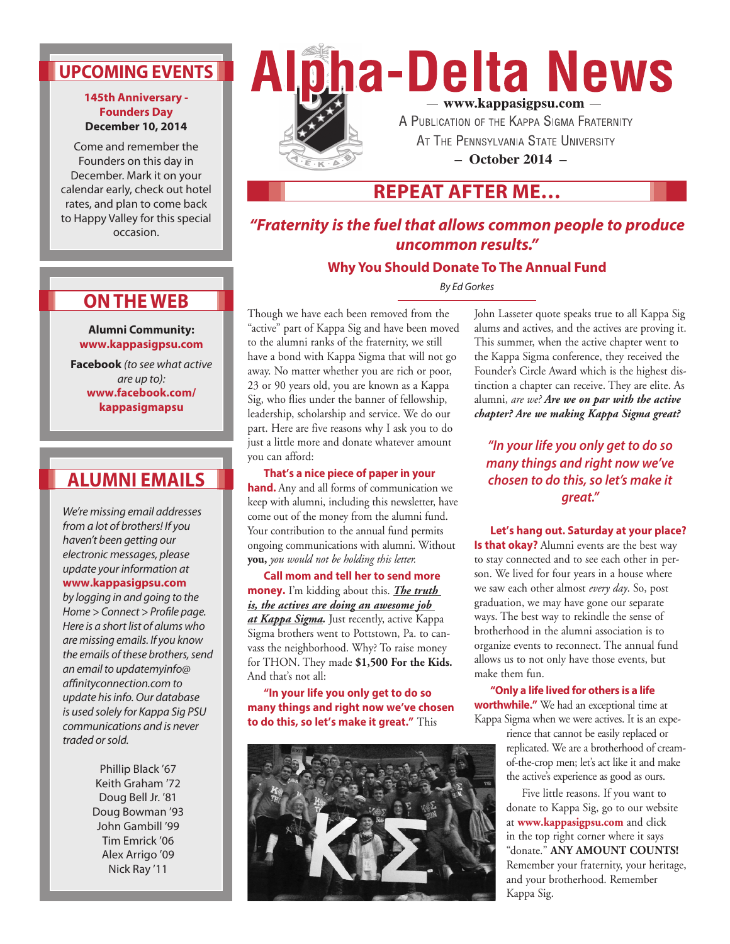## **UPCOMING EVENTS**

#### **145th Anniversary - Founders Day December 10, 2014**

Come and remember the Founders on this day in December. Mark it on your calendar early, check out hotel rates, and plan to come back to Happy Valley for this special occasion.

# ha-Delta News - www.kappasigpsu.com -A PUBLICATION OF THE KAPPA SIGMA FRATERNITY

AT THE PENNSYLVANIA STATE UNIVERSITY

**– October 2014 –**

## **REPEAT AFTER ME…**

## *"Fraternity is the fuel that allows common people to produce uncommon results."*

### **Why You Should Donate To The Annual Fund**

*By Ed Gorkes* 

**Alumni Community: www.kappasigpsu.com**

**ON THE WEB**

**Facebook** *(to see what active are up to):* **www.facebook.com/ kappasigmapsu**

## **ALUMNI EMAILS**

*We're missing email addresses from a lot of brothers! If you haven't been getting our electronic messages, please update your information at* 

### **www.kappasigpsu.com**

*by logging in and going to the Home > Connect > Profile page. Here is a short list of alums who are missing emails. If you know the emails of these brothers, send an email to updatemyinfo@ affinityconnection.com to update his info. Our database is used solely for Kappa Sig PSU communications and is never traded or sold.*

> Phillip Black '67 Keith Graham '72 Doug Bell Jr. '81 Doug Bowman '93 John Gambill '99 Tim Emrick '06 Alex Arrigo '09 Nick Ray '11

Though we have each been removed from the "active" part of Kappa Sig and have been moved to the alumni ranks of the fraternity, we still have a bond with Kappa Sigma that will not go away. No matter whether you are rich or poor, 23 or 90 years old, you are known as a Kappa Sig, who flies under the banner of fellowship, leadership, scholarship and service. We do our part. Here are five reasons why I ask you to do just a little more and donate whatever amount you can afford:

**That's a nice piece of paper in your hand.** Any and all forms of communication we keep with alumni, including this newsletter, have come out of the money from the alumni fund. Your contribution to the annual fund permits ongoing communications with alumni. Without **you,** *you would not be holding this letter.* 

**Call mom and tell her to send more money.** I'm kidding about this. *The truth is, the actives are doing an awesome job at Kappa Sigma.* Just recently, active Kappa Sigma brothers went to Pottstown, Pa. to canvass the neighborhood. Why? To raise money for THON. They made **\$1,500 For the Kids.**  And that's not all:

**"In your life you only get to do so many things and right now we've chosen to do this, so let's make it great."** This



John Lasseter quote speaks true to all Kappa Sig alums and actives, and the actives are proving it. This summer, when the active chapter went to the Kappa Sigma conference, they received the Founder's Circle Award which is the highest distinction a chapter can receive. They are elite. As alumni, *are we? Are we on par with the active chapter? Are we making Kappa Sigma great?* 

*"In your life you only get to do so many things and right now we've chosen to do this, so let's make it great."*

**Let's hang out. Saturday at your place? Is that okay?** Alumni events are the best way to stay connected and to see each other in person. We lived for four years in a house where we saw each other almost *every day*. So, post graduation, we may have gone our separate ways. The best way to rekindle the sense of brotherhood in the alumni association is to organize events to reconnect. The annual fund allows us to not only have those events, but make them fun.

**"Only a life lived for others is a life worthwhile."** We had an exceptional time at Kappa Sigma when we were actives. It is an expe-

> rience that cannot be easily replaced or replicated. We are a brotherhood of creamof-the-crop men; let's act like it and make the active's experience as good as ours.

> Five little reasons. If you want to donate to Kappa Sig, go to our website at **www.kappasigpsu.com** and click in the top right corner where it says "donate." **ANY AMOUNT COUNTS!**  Remember your fraternity, your heritage, and your brotherhood. Remember Kappa Sig.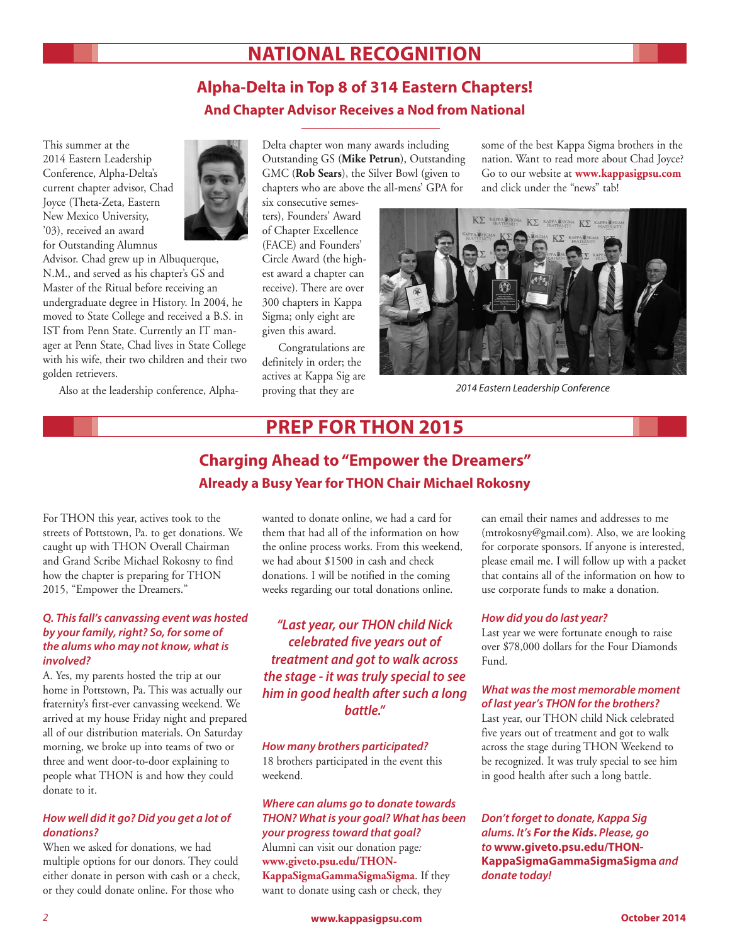## **NATIONAL RECOGNITION**

## **Alpha-Delta in Top 8 of 314 Eastern Chapters! And Chapter Advisor Receives a Nod from National**

This summer at the 2014 Eastern Leadership Conference, Alpha-Delta's current chapter advisor, Chad Joyce (Theta-Zeta, Eastern New Mexico University, '03), received an award for Outstanding Alumnus



Advisor. Chad grew up in Albuquerque, N.M., and served as his chapter's GS and Master of the Ritual before receiving an undergraduate degree in History. In 2004, he moved to State College and received a B.S. in IST from Penn State. Currently an IT manager at Penn State, Chad lives in State College with his wife, their two children and their two golden retrievers.

Also at the leadership conference, Alpha-

Delta chapter won many awards including Outstanding GS (**Mike Petrun**), Outstanding GMC (**Rob Sears**), the Silver Bowl (given to chapters who are above the all-mens' GPA for

six consecutive semesters), Founders' Award of Chapter Excellence (FACE) and Founders' Circle Award (the highest award a chapter can receive). There are over 300 chapters in Kappa Sigma; only eight are given this award.

Congratulations are definitely in order; the actives at Kappa Sig are proving that they are

some of the best Kappa Sigma brothers in the nation. Want to read more about Chad Joyce? Go to our website at **www.kappasigpsu.com**  and click under the "news" tab!



*2014 Eastern Leadership Conference*

## **PREP FOR THON 2015**

## **Charging Ahead to "Empower the Dreamers" Already a Busy Year for THON Chair Michael Rokosny**

For THON this year, actives took to the streets of Pottstown, Pa. to get donations. We caught up with THON Overall Chairman and Grand Scribe Michael Rokosny to find how the chapter is preparing for THON 2015, "Empower the Dreamers."

#### *Q. This fall's canvassing event was hosted by your family, right? So, for some of the alums who may not know, what is involved?*

A. Yes, my parents hosted the trip at our home in Pottstown, Pa. This was actually our fraternity's first-ever canvassing weekend. We arrived at my house Friday night and prepared all of our distribution materials. On Saturday morning, we broke up into teams of two or three and went door-to-door explaining to people what THON is and how they could donate to it.

#### *How well did it go? Did you get a lot of donations?*

When we asked for donations, we had multiple options for our donors. They could either donate in person with cash or a check, or they could donate online. For those who

wanted to donate online, we had a card for them that had all of the information on how the online process works. From this weekend, we had about \$1500 in cash and check donations. I will be notified in the coming weeks regarding our total donations online.

### *"Last year, our THON child Nick celebrated five years out of treatment and got to walk across the stage - it was truly special to see him in good health after such a long battle."*

*How many brothers participated?* 18 brothers participated in the event this weekend.

#### *Where can alums go to donate towards THON? What is your goal? What has been your progress toward that goal?* Alumni can visit our donation page*:*

**www.giveto.psu.edu/THON-KappaSigmaGammaSigmaSigma**. If they want to donate using cash or check, they

can email their names and addresses to me (mtrokosny@gmail.com). Also, we are looking for corporate sponsors. If anyone is interested, please email me. I will follow up with a packet that contains all of the information on how to use corporate funds to make a donation.

#### *How did you do last year?*

Last year we were fortunate enough to raise over \$78,000 dollars for the Four Diamonds Fund.

#### *What was the most memorable moment of last year's THON for the brothers?*

Last year, our THON child Nick celebrated five years out of treatment and got to walk across the stage during THON Weekend to be recognized. It was truly special to see him in good health after such a long battle.

*Don't forget to donate, Kappa Sig alums. It's For the Kids***.** *Please, go to* **www.giveto.psu.edu/THON-KappaSigmaGammaSigmaSigma** *and donate today!*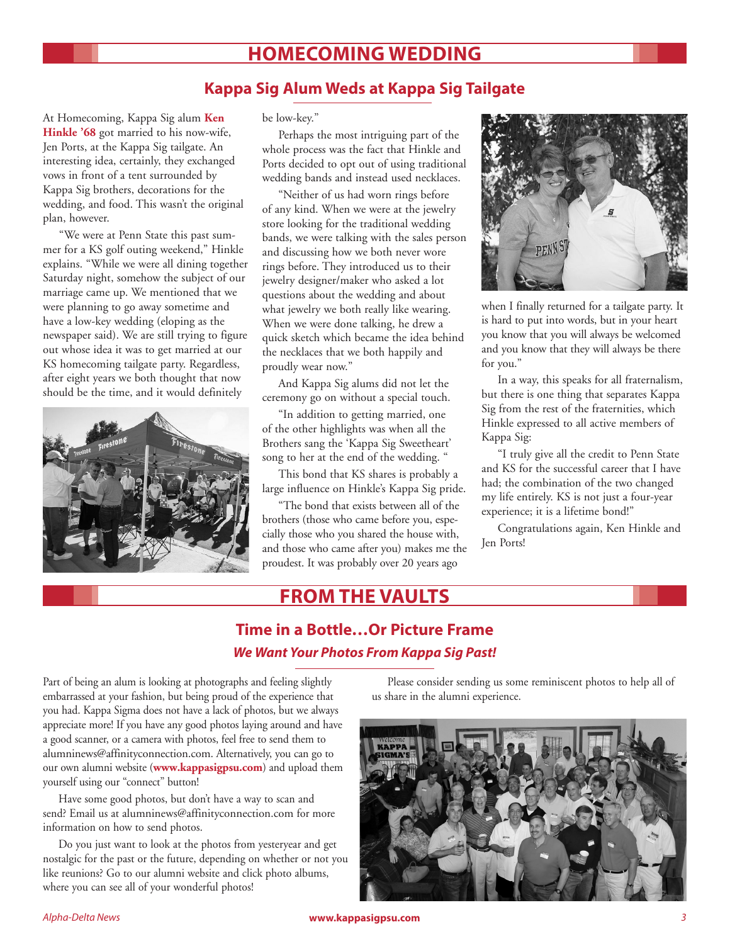## **HOMECOMING WEDDING**

### **Kappa Sig Alum Weds at Kappa Sig Tailgate**

At Homecoming, Kappa Sig alum **Ken Hinkle '68** got married to his now-wife, Jen Ports, at the Kappa Sig tailgate. An interesting idea, certainly, they exchanged vows in front of a tent surrounded by Kappa Sig brothers, decorations for the wedding, and food. This wasn't the original plan, however.

"We were at Penn State this past summer for a KS golf outing weekend," Hinkle explains. "While we were all dining together Saturday night, somehow the subject of our marriage came up. We mentioned that we were planning to go away sometime and have a low-key wedding (eloping as the newspaper said). We are still trying to figure out whose idea it was to get married at our KS homecoming tailgate party. Regardless, after eight years we both thought that now should be the time, and it would definitely



be low-key."

Perhaps the most intriguing part of the whole process was the fact that Hinkle and Ports decided to opt out of using traditional wedding bands and instead used necklaces.

"Neither of us had worn rings before of any kind. When we were at the jewelry store looking for the traditional wedding bands, we were talking with the sales person and discussing how we both never wore rings before. They introduced us to their jewelry designer/maker who asked a lot questions about the wedding and about what jewelry we both really like wearing. When we were done talking, he drew a quick sketch which became the idea behind the necklaces that we both happily and proudly wear now."

And Kappa Sig alums did not let the ceremony go on without a special touch.

"In addition to getting married, one of the other highlights was when all the Brothers sang the 'Kappa Sig Sweetheart' song to her at the end of the wedding. "

This bond that KS shares is probably a large influence on Hinkle's Kappa Sig pride.

"The bond that exists between all of the brothers (those who came before you, especially those who you shared the house with, and those who came after you) makes me the proudest. It was probably over 20 years ago



when I finally returned for a tailgate party. It is hard to put into words, but in your heart you know that you will always be welcomed and you know that they will always be there for you."

In a way, this speaks for all fraternalism, but there is one thing that separates Kappa Sig from the rest of the fraternities, which Hinkle expressed to all active members of Kappa Sig:

"I truly give all the credit to Penn State and KS for the successful career that I have had; the combination of the two changed my life entirely. KS is not just a four-year experience; it is a lifetime bond!"

Congratulations again, Ken Hinkle and Jen Ports!

## **FROM THE VAULTS**

## **Time in a Bottle…Or Picture Frame** *We Want Your Photos From Kappa Sig Past!*

Part of being an alum is looking at photographs and feeling slightly embarrassed at your fashion, but being proud of the experience that you had. Kappa Sigma does not have a lack of photos, but we always appreciate more! If you have any good photos laying around and have a good scanner, or a camera with photos, feel free to send them to alumninews@affinityconnection.com. Alternatively, you can go to our own alumni website (**www.kappasigpsu.com**) and upload them yourself using our "connect" button!

 Have some good photos, but don't have a way to scan and send? Email us at alumninews@affinityconnection.com for more information on how to send photos.

 Do you just want to look at the photos from yesteryear and get nostalgic for the past or the future, depending on whether or not you like reunions? Go to our alumni website and click photo albums, where you can see all of your wonderful photos!

 Please consider sending us some reminiscent photos to help all of us share in the alumni experience.